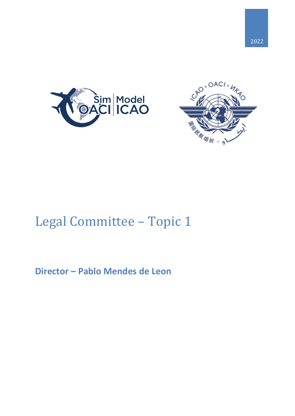





# Legal Committee – Topic 1

## **Director – Pablo Mendes de Leon**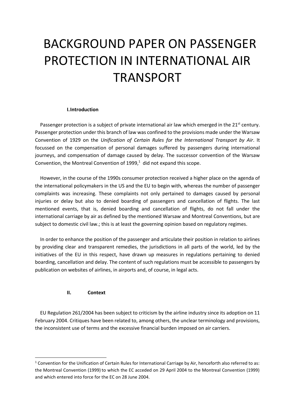# BACKGROUND PAPER ON PASSENGER PROTECTION IN INTERNATIONAL AIR TRANSPORT

#### **I.Introduction**

Passenger protection is a subject of private international air law which emerged in the 21<sup>st</sup> century. Passenger protection under this branch of law was confined to the provisions made under the Warsaw Convention of 1929 on the *Unification of Certain Rules for the International Transport by Air*. It focussed on the compensation of personal damages suffered by passengers during international journeys, and compensation of damage caused by delay. The successor convention of the Warsaw Convention, the Montreal Convention of  $1999<sup>1</sup>$  did not expand this scope.

However, in the course of the 1990s consumer protection received a higher place on the agenda of the international policymakers in the US and the EU to begin with, whereas the number of passenger complaints was increasing. These complaints not only pertained to damages caused by personal injuries or delay but also to denied boarding of passengers and cancellation of flights. The last mentioned events, that is, denied boarding and cancellation of flights, do not fall under the international carriage by air as defined by the mentioned Warsaw and Montreal Conventions, but are subject to domestic civil law.; this is at least the governing opinion based on regulatory regimes.

In order to enhance the position of the passenger and articulate their position in relation to airlines by providing clear and transparent remedies, the jurisdictions in all parts of the world, led by the initiatives of the EU in this respect, have drawn up measures in regulations pertaining to denied boarding, cancellation and delay. The content of such regulations must be accessible to passengers by publication on websites of airlines, in airports and, of course, in legal acts.

### **II. Context**

1

EU Regulation 261/2004 has been subject to criticism by the airline industry since its adoption on 11 February 2004. Critiques have been related to, among others, the unclear terminology and provisions, the inconsistent use of terms and the excessive financial burden imposed on air carriers.

<sup>&</sup>lt;sup>1</sup> Convention for the Unification of Certain Rules for International Carriage by Air, henceforth also referred to as: the Montreal Convention (1999) to which the EC acceded on 29 April 2004 to the Montreal Convention (1999) and which entered into force for the EC on 28 June 2004.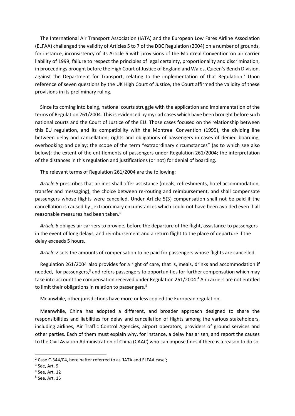The International Air Transport Association (IATA) and the European Low Fares Airline Association (ELFAA) challenged the validity of Articles 5 to 7 of the DBC Regulation (2004) on a number of grounds, for instance, inconsistency of its Article 6 with provisions of the Montreal Convention on air carrier liability of 1999, failure to respect the principles of legal certainty, proportionality and discrimination, in proceedings brought before the High Court of Justice of England and Wales, Queen's Bench Division, against the Department for Transport, relating to the implementation of that Regulation.<sup>2</sup> Upon reference of seven questions by the UK High Court of Justice, the Court affirmed the validity of these provisions in its preliminary ruling.

Since its coming into being, national courts struggle with the application and implementation of the terms of Regulation 261/2004. This is evidenced by myriad cases which have been brought before such national courts and the Court of Justice of the EU. Those cases focused on the relationship between this EU regulation, and its compatibility with the Montreal Convention (1999), the dividing line between delay and cancellation; rights and obligations of passengers in cases of denied boarding, overbooking and delay; the scope of the term "extraordinary circumstances" (as to which see also below); the extent of the entitlements of passengers under Regulation 261/2004; the interpretation of the distances in this regulation and justifications (or not) for denial of boarding.

The relevant terms of Regulation 261/2004 are the following:

*Article 5* prescribes that airlines shall offer assistance (meals, refreshments, hotel accommodation, transfer and messaging), the choice between re-routing and reimbursement, and shall compensate passengers whose flights were cancelled. Under Article 5(3) compensation shall not be paid if the cancellation is caused by "extraordinary circumstances which could not have been avoided even if all reasonable measures had been taken."

*Article 6* obliges air carriers to provide, before the departure of the flight, assistance to passengers in the event of long delays, and reimbursement and a return flight to the place of departure if the delay exceeds 5 hours.

*Article 7* sets the amounts of compensation to be paid for passengers whose flights are cancelled.

Regulation 261/2004 also provides for a right of care, that is, meals, drinks and accommodation if needed, for passengers,<sup>3</sup> and refers passengers to opportunities for further compensation which may take into account the compensation received under Regulation 261/2004.<sup>4</sup> Air carriers are not entitled to limit their obligations in relation to passengers.<sup>5</sup>

Meanwhile, other jurisdictions have more or less copied the European regulation.

Meanwhile, China has adopted a different, and broader approach designed to share the responsibilities and liabilities for delay and cancellation of flights among the various stakeholders, including airlines, Air Traffic Control Agencies, airport operators, providers of ground services and other parties. Each of them must explain why, for instance, a delay has arisen, and report the causes to the Civil Aviation Administration of China (CAAC) who can impose fines if there is a reason to do so.

**.** 

<sup>2</sup> Case C-344/04, hereinafter referred to as 'IATA and ELFAA case';

<sup>&</sup>lt;sup>3</sup> See, Art. 9

<sup>4</sup> See, Art. 12

<sup>5</sup> See, Art. 15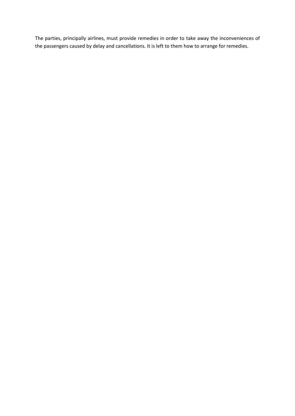The parties, principally airlines, must provide remedies in order to take away the inconveniences of the passengers caused by delay and cancellations. It is left to them how to arrange for remedies.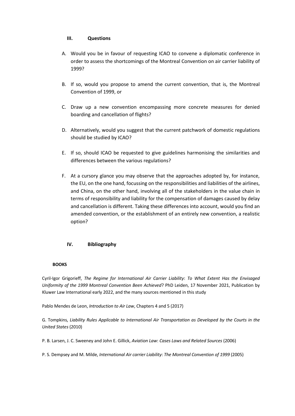### **III. Questions**

- A. Would you be in favour of requesting ICAO to convene a diplomatic conference in order to assess the shortcomings of the Montreal Convention on air carrier liability of 1999?
- B. If so, would you propose to amend the current convention, that is, the Montreal Convention of 1999, or
- C. Draw up a new convention encompassing more concrete measures for denied boarding and cancellation of flights?
- D. Alternatively, would you suggest that the current patchwork of domestic regulations should be studied by ICAO?
- E. If so, should ICAO be requested to give guidelines harmonising the similarities and differences between the various regulations?
- F. At a cursory glance you may observe that the approaches adopted by, for instance, the EU, on the one hand, focussing on the responsibilities and liabilities of the airlines, and China, on the other hand, involving all of the stakeholders in the value chain in terms of responsibility and liability for the compensation of damages caused by delay and cancellation is different. Taking these differences into account, would you find an amended convention, or the establishment of an entirely new convention, a realistic option?

### **IV. Bibliography**

#### **BOOKS**

Cyril-Igor Grigorieff, *The Regime for International Air Carrier Liability*: *To What Extent Has the Envisaged Uniformity of the 1999 Montreal Convention Been Achieved*? PhD Leiden, 17 November 2021, Publication by Kluwer Law International early 2022, and the many sources mentioned in this study

Pablo Mendes de Leon, *Introduction to Air Law*, Chapters 4 and 5 (2017)

G. Tompkins, *Liability Rules Applicable to International Air Transportation as Developed by the Courts in the United States* (2010)

P. B. Larsen, J. C. Sweeney and John E. Gillick, *Aviation Law*: *Cases Laws and Related Sources* (2006)

P. S. Dempsey and M. Milde, *International Air carrier Liability*: *The Montreal Convention of 1999* (2005)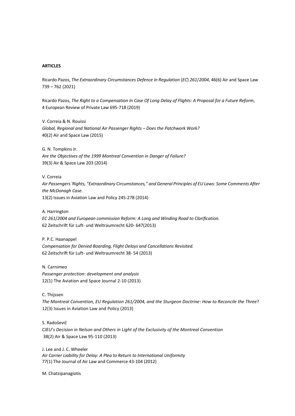#### **ARTICLES**

Ricardo Pazos, *The Extraordinary Circumstances Defence in Regulation* (*EC*) *261*/*2004*, 46(6) Air and Space Law 739 – 762 (2021)

Ricardo Pazos, *The Right to a Compensation In Case Of Long Delay of Flights*: *A Proposal for a Future Reform*, 4 European Review of Private Law 695-718 (2019)

V. Correia & N. Rouissi *Global, Regional and National Air Passenger Rights – Does the Patchwork Work?* 40(2) Air and Space Law (2015)

G. N. Tompkins Jr. *Are the Objectives of the 1999 Montreal Convention in Danger of Failure?* 39(3) Air & Space Law 203 (2014)

V. Correia

*Air Passengers 'Rights, "Extraordinary Circumstances," and General Principles of EU Laws: Some Comments After the McDonagh Case.* 13(2) Issues in Aviation Law and Policy 245-278 (2014)

A. Harrington *EC 261*/*2004 and European commission Reform: A Long and Winding Road to Clarification.*  62 Zeitschrift für Luft- und Weltraumrecht 620- 647(2013)

P. P.C. Haanappel *Compensation for Denied Boarding, Flight Delays and Cancellations Revisited.*  62 Zeitschrift für Luft- und Weltraumrecht 38- 54 (2013)

N. Carnimeo *Passenger protection*: *development and analysis* 12(1) The Aviation and Space Journal 2-10 (2013)

C. Thijssen

*The Montreal Convention, EU Regulation 261/2004, and the Sturgeon Doctrine*: *How to Reconcile the Three*? 12(3) Issues in Aviation Law and Policy (2013)

S. Radoševič *CJEU*'*s Decision in Nelson and Others in Light of the Exclusivity of the Montreal Convention* 38(2) Air & Space Law 95-110 (2013)

J. Lee and J. C. Wheeler *Air Carrier Liability for Delay*: *A Plea to Return to International Uniformity* 77(1) The Journal of Air Law and Commerce 43-104 (2012)

M. Chatzipanagiotis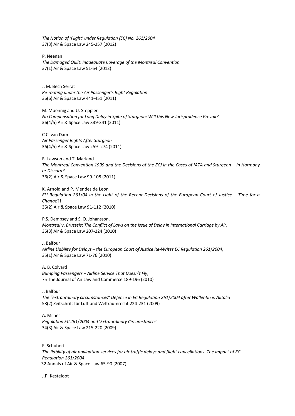*The Notion of 'Flight' under Regulation (EC) No. 261*/*2004*  37(3) Air & Space Law 245-257 (2012)

P. Neenan *The Damaged Quilt*: *Inadequate Coverage of the Montreal Convention* 37(1) Air & Space Law 51-64 (2012)

J. M. Bech Serrat *Re-routing under the Air Passenger's Right Regulation* 36(6) Air & Space Law 441-451 (2011)

M. Muennig and U. Steppler *No Compensation for Long Delay in Spite of Sturgeon: Will this New Jurisprudence Prevail?*  36(4/5) Air & Space Law 339-341 (2011)

C.C. van Dam *Air Passenger Rights After Sturgeon*  36(4/5) Air & Space Law 259 -274 (2011)

R. Lawson and T. Marland *The Montreal Convention 1999 and the Decisions of the ECJ in the Cases of IATA and Sturgeon – In Harmony or Discord?*  36(2) Air & Space Law 99-108 (2011)

K. Arnold and P. Mendes de Leon *EU Regulation 261*/*04 in the Light of the Recent Decisions of the European Court of Justice* – *Time for a Change*?! 35(2) Air & Space Law 91-112 (2010)

P.S. Dempsey and S. O. Johansson, *Montreal* v. *Brussels*: *The Conflict of Laws on the Issue of Delay in International Carriage by Air*, 35(3) Air & Space Law 207-224 (2010)

J. Balfour *Airline Liability for Delays – the European Court of Justice Re-Writes EC Regulation 261*/*2004*, 35(1) Air & Space Law 71-76 (2010)

A. B. Colvard *Bumping Passengers* – *Airline Service That Doesn*'*t Fly*, 75 The Journal of Air Law and Commerce 189-196 (2010)

J. Balfour *The "extraordinary circumstances" Defence in EC Regulation 261*/*2004 after Wallentin* v. *Alitalia* 58(2) Zeitschrift für Luft und Weltraumrecht 224-231 (2009)

A. Milner *Regulation EC 261*/*2004 and* '*Extraordinary Circumstances*' 34(3) Air & Space Law 215-220 (2009)

F. Schubert *The liability of air navigation services for air traffic delays and flight cancellations. The impact of EC Regulation 261*/*2004* 32 Annals of Air & Space Law 65-90 (2007)

J.P. Kesteloot